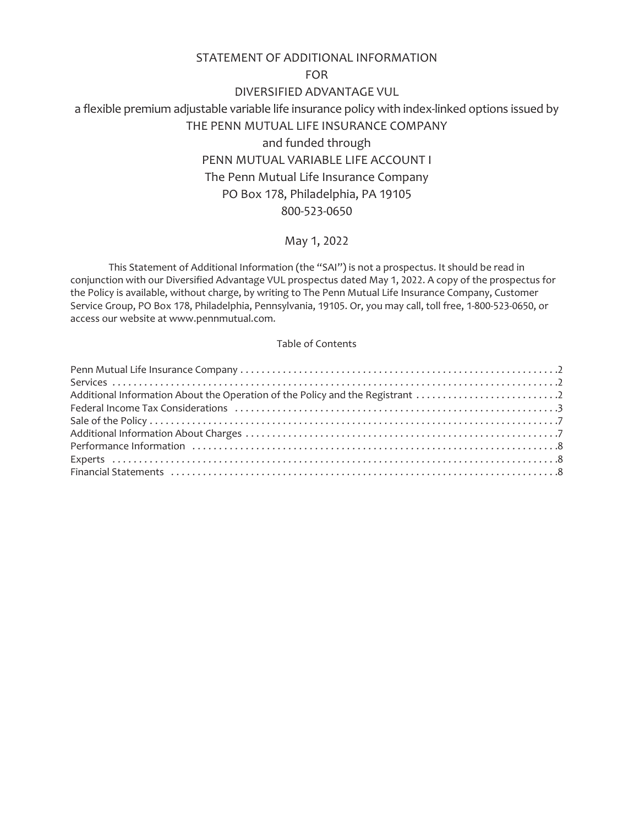# STATEMENT OF ADDITIONAL INFORMATION

FOR

DIVERSIFIED ADVANTAGE VUL

a flexible premium adjustable variable life insurance policy with index-linked options issued by THE PENN MUTUAL LIFE INSURANCE COMPANY and funded through PENN MUTUAL VARIABLE LIFE ACCOUNT I The Penn Mutual Life Insurance Company PO Box 178, Philadelphia, PA 19105 800-523-0650

# May 1, 2022

This Statement of Additional Information (the "SAI") is not a prospectus. It should be read in conjunction with our Diversified Advantage VUL prospectus dated May 1, 2022. A copy of the prospectus for the Policy is available, without charge, by writing to The Penn Mutual Life Insurance Company, Customer Service Group, PO Box 178, Philadelphia, Pennsylvania, 19105. Or, you may call, toll free, 1-800-523-0650, or access our website at www.pennmutual.com.

# Table of Contents

| Additional Information About the Operation of the Policy and the Registrant 2 |  |
|-------------------------------------------------------------------------------|--|
|                                                                               |  |
|                                                                               |  |
|                                                                               |  |
|                                                                               |  |
|                                                                               |  |
|                                                                               |  |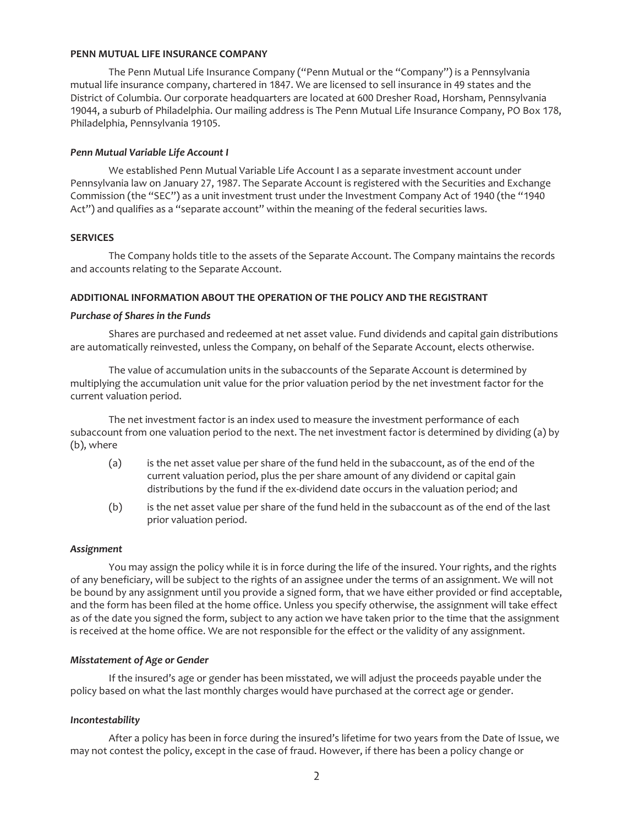### <span id="page-1-0"></span>**PENN MUTUAL LIFE INSURANCE COMPANY**

The Penn Mutual Life Insurance Company ("Penn Mutual or the "Company") is a Pennsylvania mutual life insurance company, chartered in 1847. We are licensed to sell insurance in 49 states and the District of Columbia. Our corporate headquarters are located at 600 Dresher Road, Horsham, Pennsylvania 19044, a suburb of Philadelphia. Our mailing address is The Penn Mutual Life Insurance Company, PO Box 178, Philadelphia, Pennsylvania 19105.

### *Penn Mutual Variable Life Account I*

We established Penn Mutual Variable Life Account I as a separate investment account under Pennsylvania law on January 27, 1987. The Separate Account is registered with the Securities and Exchange Commission (the "SEC") as a unit investment trust under the Investment Company Act of 1940 (the "1940 Act") and qualifies as a "separate account" within the meaning of the federal securities laws.

# <span id="page-1-1"></span>**SERVICES**

The Company holds title to the assets of the Separate Account. The Company maintains the records and accounts relating to the Separate Account.

# <span id="page-1-2"></span>**ADDITIONAL INFORMATION ABOUT THE OPERATION OF THE POLICY AND THE REGISTRANT**

### *Purchase of Shares in the Funds*

Shares are purchased and redeemed at net asset value. Fund dividends and capital gain distributions are automatically reinvested, unless the Company, on behalf of the Separate Account, elects otherwise.

The value of accumulation units in the subaccounts of the Separate Account is determined by multiplying the accumulation unit value for the prior valuation period by the net investment factor for the current valuation period.

The net investment factor is an index used to measure the investment performance of each subaccount from one valuation period to the next. The net investment factor is determined by dividing (a) by (b), where

- (a) is the net asset value per share of the fund held in the subaccount, as of the end of the current valuation period, plus the per share amount of any dividend or capital gain distributions by the fund if the ex-dividend date occurs in the valuation period; and
- (b) is the net asset value per share of the fund held in the subaccount as of the end of the last prior valuation period.

### *Assignment*

You may assign the policy while it is in force during the life of the insured. Your rights, and the rights of any beneficiary, will be subject to the rights of an assignee under the terms of an assignment. We will not be bound by any assignment until you provide a signed form, that we have either provided or find acceptable, and the form has been filed at the home office. Unless you specify otherwise, the assignment will take effect as of the date you signed the form, subject to any action we have taken prior to the time that the assignment is received at the home office. We are not responsible for the effect or the validity of any assignment.

# *Misstatement of Age or Gender*

If the insured's age or gender has been misstated, we will adjust the proceeds payable under the policy based on what the last monthly charges would have purchased at the correct age or gender.

# *Incontestability*

After a policy has been in force during the insured's lifetime for two years from the Date of Issue, we may not contest the policy, except in the case of fraud. However, if there has been a policy change or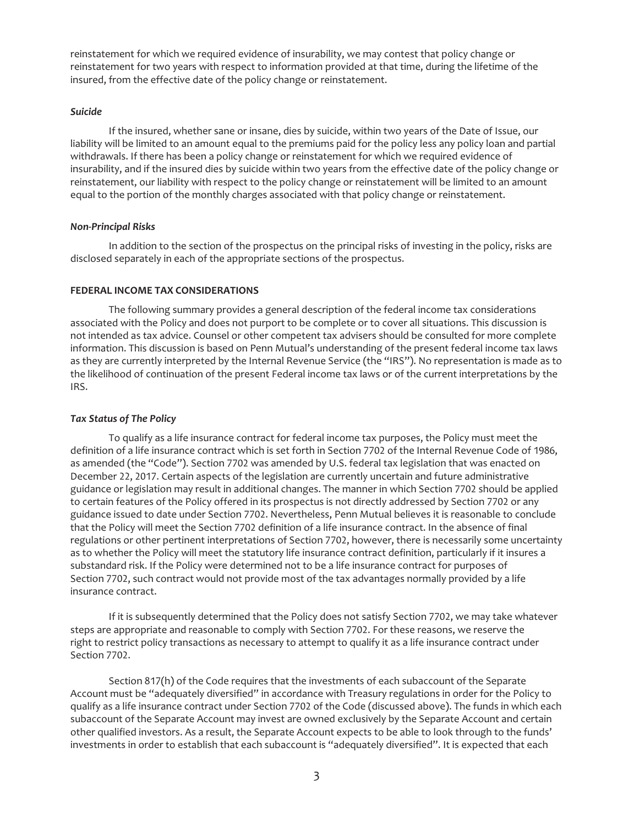reinstatement for which we required evidence of insurability, we may contest that policy change or reinstatement for two years with respect to information provided at that time, during the lifetime of the insured, from the effective date of the policy change or reinstatement.

### *Suicide*

If the insured, whether sane or insane, dies by suicide, within two years of the Date of Issue, our liability will be limited to an amount equal to the premiums paid for the policy less any policy loan and partial withdrawals. If there has been a policy change or reinstatement for which we required evidence of insurability, and if the insured dies by suicide within two years from the effective date of the policy change or reinstatement, our liability with respect to the policy change or reinstatement will be limited to an amount equal to the portion of the monthly charges associated with that policy change or reinstatement.

### *Non-Principal Risks*

In addition to the section of the prospectus on the principal risks of investing in the policy, risks are disclosed separately in each of the appropriate sections of the prospectus.

### <span id="page-2-0"></span>**FEDERAL INCOME TAX CONSIDERATIONS**

The following summary provides a general description of the federal income tax considerations associated with the Policy and does not purport to be complete or to cover all situations. This discussion is not intended as tax advice. Counsel or other competent tax advisers should be consulted for more complete information. This discussion is based on Penn Mutual's understanding of the present federal income tax laws as they are currently interpreted by the Internal Revenue Service (the "IRS"). No representation is made as to the likelihood of continuation of the present Federal income tax laws or of the current interpretations by the IRS.

### *Tax Status of The Policy*

To qualify as a life insurance contract for federal income tax purposes, the Policy must meet the definition of a life insurance contract which is set forth in Section 7702 of the Internal Revenue Code of 1986, as amended (the "Code"). Section 7702 was amended by U.S. federal tax legislation that was enacted on December 22, 2017. Certain aspects of the legislation are currently uncertain and future administrative guidance or legislation may result in additional changes. The manner in which Section 7702 should be applied to certain features of the Policy offered in its prospectus is not directly addressed by Section 7702 or any guidance issued to date under Section 7702. Nevertheless, Penn Mutual believes it is reasonable to conclude that the Policy will meet the Section 7702 definition of a life insurance contract. In the absence of final regulations or other pertinent interpretations of Section 7702, however, there is necessarily some uncertainty as to whether the Policy will meet the statutory life insurance contract definition, particularly if it insures a substandard risk. If the Policy were determined not to be a life insurance contract for purposes of Section 7702, such contract would not provide most of the tax advantages normally provided by a life insurance contract.

If it is subsequently determined that the Policy does not satisfy Section 7702, we may take whatever steps are appropriate and reasonable to comply with Section 7702. For these reasons, we reserve the right to restrict policy transactions as necessary to attempt to qualify it as a life insurance contract under Section 7702.

Section 817(h) of the Code requires that the investments of each subaccount of the Separate Account must be "adequately diversified" in accordance with Treasury regulations in order for the Policy to qualify as a life insurance contract under Section 7702 of the Code (discussed above). The funds in which each subaccount of the Separate Account may invest are owned exclusively by the Separate Account and certain other qualified investors. As a result, the Separate Account expects to be able to look through to the funds' investments in order to establish that each subaccount is "adequately diversified". It is expected that each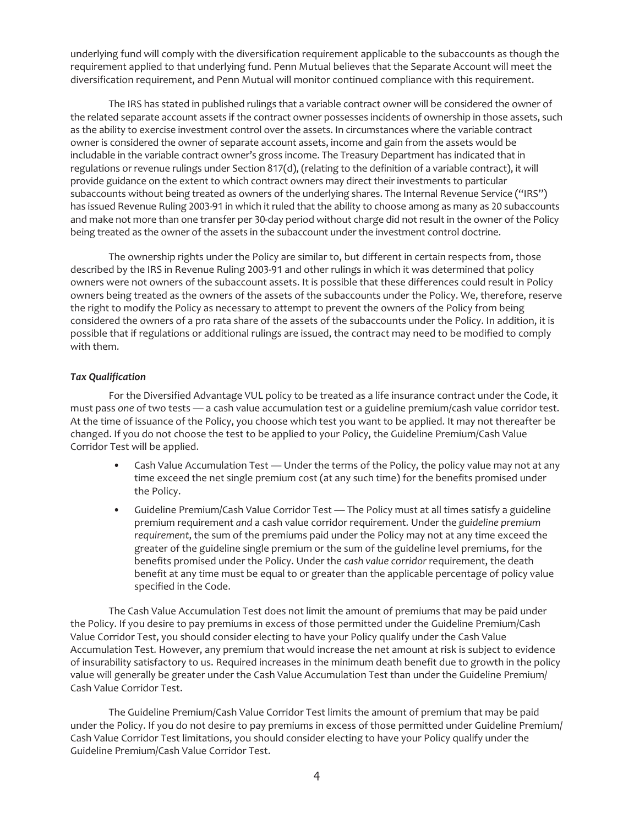underlying fund will comply with the diversification requirement applicable to the subaccounts as though the requirement applied to that underlying fund. Penn Mutual believes that the Separate Account will meet the diversification requirement, and Penn Mutual will monitor continued compliance with this requirement.

The IRS has stated in published rulings that a variable contract owner will be considered the owner of the related separate account assets if the contract owner possesses incidents of ownership in those assets, such as the ability to exercise investment control over the assets. In circumstances where the variable contract owner is considered the owner of separate account assets, income and gain from the assets would be includable in the variable contract owner's gross income. The Treasury Department has indicated that in regulations or revenue rulings under Section 817(d), (relating to the definition of a variable contract), it will provide guidance on the extent to which contract owners may direct their investments to particular subaccounts without being treated as owners of the underlying shares. The Internal Revenue Service ("IRS") has issued Revenue Ruling 2003-91 in which it ruled that the ability to choose among as many as 20 subaccounts and make not more than one transfer per 30-day period without charge did not result in the owner of the Policy being treated as the owner of the assets in the subaccount under the investment control doctrine.

The ownership rights under the Policy are similar to, but different in certain respects from, those described by the IRS in Revenue Ruling 2003-91 and other rulings in which it was determined that policy owners were not owners of the subaccount assets. It is possible that these differences could result in Policy owners being treated as the owners of the assets of the subaccounts under the Policy. We, therefore, reserve the right to modify the Policy as necessary to attempt to prevent the owners of the Policy from being considered the owners of a pro rata share of the assets of the subaccounts under the Policy. In addition, it is possible that if regulations or additional rulings are issued, the contract may need to be modified to comply with them.

### *Tax Qualification*

For the Diversified Advantage VUL policy to be treated as a life insurance contract under the Code, it must pass *one* of two tests — a cash value accumulation test or a guideline premium/cash value corridor test. At the time of issuance of the Policy, you choose which test you want to be applied. It may not thereafter be changed. If you do not choose the test to be applied to your Policy, the Guideline Premium/Cash Value Corridor Test will be applied.

- Cash Value Accumulation Test Under the terms of the Policy, the policy value may not at any time exceed the net single premium cost (at any such time) for the benefits promised under the Policy.
- Guideline Premium/Cash Value Corridor Test The Policy must at all times satisfy a guideline premium requirement *and* a cash value corridor requirement. Under the *guideline premium requirement*, the sum of the premiums paid under the Policy may not at any time exceed the greater of the guideline single premium or the sum of the guideline level premiums, for the benefits promised under the Policy. Under the *cash value corridor* requirement, the death benefit at any time must be equal to or greater than the applicable percentage of policy value specified in the Code.

The Cash Value Accumulation Test does not limit the amount of premiums that may be paid under the Policy. If you desire to pay premiums in excess of those permitted under the Guideline Premium/Cash Value Corridor Test, you should consider electing to have your Policy qualify under the Cash Value Accumulation Test. However, any premium that would increase the net amount at risk is subject to evidence of insurability satisfactory to us. Required increases in the minimum death benefit due to growth in the policy value will generally be greater under the Cash Value Accumulation Test than under the Guideline Premium/ Cash Value Corridor Test.

The Guideline Premium/Cash Value Corridor Test limits the amount of premium that may be paid under the Policy. If you do not desire to pay premiums in excess of those permitted under Guideline Premium/ Cash Value Corridor Test limitations, you should consider electing to have your Policy qualify under the Guideline Premium/Cash Value Corridor Test.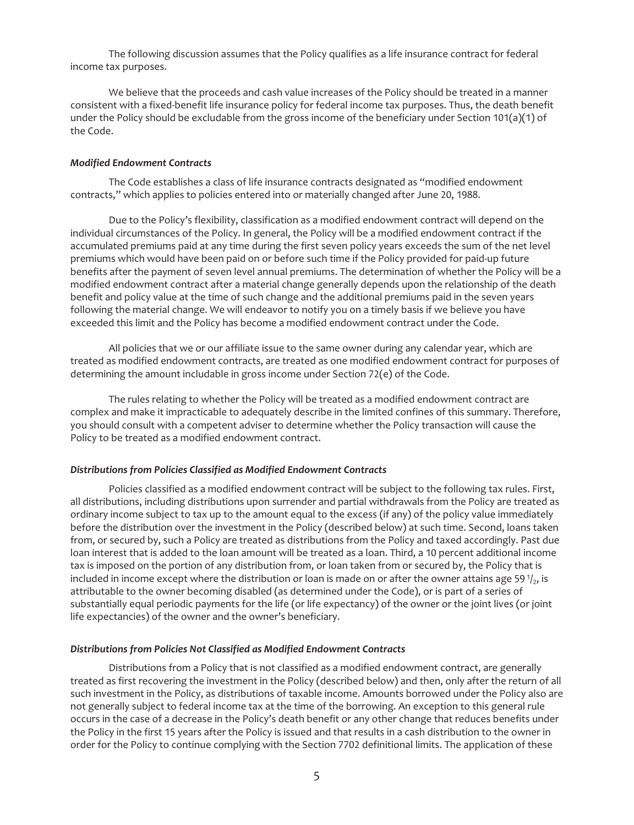The following discussion assumes that the Policy qualifies as a life insurance contract for federal income tax purposes.

We believe that the proceeds and cash value increases of the Policy should be treated in a manner consistent with a fixed-benefit life insurance policy for federal income tax purposes. Thus, the death benefit under the Policy should be excludable from the gross income of the beneficiary under Section 101(a)(1) of the Code.

### *Modified Endowment Contracts*

The Code establishes a class of life insurance contracts designated as "modified endowment contracts," which applies to policies entered into or materially changed after June 20, 1988.

Due to the Policy's flexibility, classification as a modified endowment contract will depend on the individual circumstances of the Policy. In general, the Policy will be a modified endowment contract if the accumulated premiums paid at any time during the first seven policy years exceeds the sum of the net level premiums which would have been paid on or before such time if the Policy provided for paid-up future benefits after the payment of seven level annual premiums. The determination of whether the Policy will be a modified endowment contract after a material change generally depends upon the relationship of the death benefit and policy value at the time of such change and the additional premiums paid in the seven years following the material change. We will endeavor to notify you on a timely basis if we believe you have exceeded this limit and the Policy has become a modified endowment contract under the Code.

All policies that we or our affiliate issue to the same owner during any calendar year, which are treated as modified endowment contracts, are treated as one modified endowment contract for purposes of determining the amount includable in gross income under Section 72(e) of the Code.

The rules relating to whether the Policy will be treated as a modified endowment contract are complex and make it impracticable to adequately describe in the limited confines of this summary. Therefore, you should consult with a competent adviser to determine whether the Policy transaction will cause the Policy to be treated as a modified endowment contract.

#### *Distributions from Policies Classified as Modified Endowment Contracts*

Policies classified as a modified endowment contract will be subject to the following tax rules. First, all distributions, including distributions upon surrender and partial withdrawals from the Policy are treated as ordinary income subject to tax up to the amount equal to the excess (if any) of the policy value immediately before the distribution over the investment in the Policy (described below) at such time. Second, loans taken from, or secured by, such a Policy are treated as distributions from the Policy and taxed accordingly. Past due loan interest that is added to the loan amount will be treated as a loan. Third, a 10 percent additional income tax is imposed on the portion of any distribution from, or loan taken from or secured by, the Policy that is included in income except where the distribution or loan is made on or after the owner attains age 59 $\frac{1}{2}$ , is attributable to the owner becoming disabled (as determined under the Code), or is part of a series of substantially equal periodic payments for the life (or life expectancy) of the owner or the joint lives (or joint life expectancies) of the owner and the owner's beneficiary.

#### *Distributions from Policies Not Classified as Modified Endowment Contracts*

Distributions from a Policy that is not classified as a modified endowment contract, are generally treated as first recovering the investment in the Policy (described below) and then, only after the return of all such investment in the Policy, as distributions of taxable income. Amounts borrowed under the Policy also are not generally subject to federal income tax at the time of the borrowing. An exception to this general rule occurs in the case of a decrease in the Policy's death benefit or any other change that reduces benefits under the Policy in the first 15 years after the Policy is issued and that results in a cash distribution to the owner in order for the Policy to continue complying with the Section 7702 definitional limits. The application of these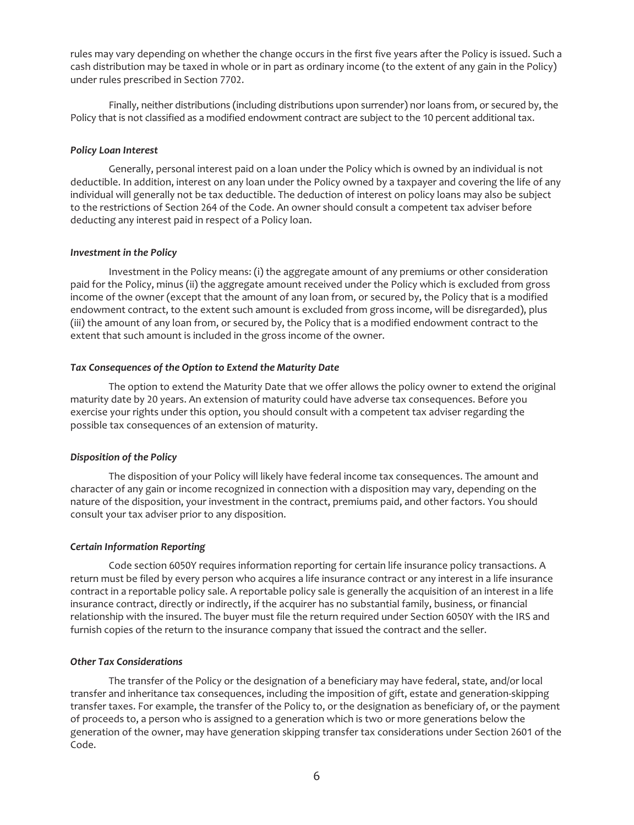rules may vary depending on whether the change occurs in the first five years after the Policy is issued. Such a cash distribution may be taxed in whole or in part as ordinary income (to the extent of any gain in the Policy) under rules prescribed in Section 7702.

Finally, neither distributions (including distributions upon surrender) nor loans from, or secured by, the Policy that is not classified as a modified endowment contract are subject to the 10 percent additional tax.

### *Policy Loan Interest*

Generally, personal interest paid on a loan under the Policy which is owned by an individual is not deductible. In addition, interest on any loan under the Policy owned by a taxpayer and covering the life of any individual will generally not be tax deductible. The deduction of interest on policy loans may also be subject to the restrictions of Section 264 of the Code. An owner should consult a competent tax adviser before deducting any interest paid in respect of a Policy loan.

### *Investment in the Policy*

Investment in the Policy means: (i) the aggregate amount of any premiums or other consideration paid for the Policy, minus (ii) the aggregate amount received under the Policy which is excluded from gross income of the owner (except that the amount of any loan from, or secured by, the Policy that is a modified endowment contract, to the extent such amount is excluded from gross income, will be disregarded), plus (iii) the amount of any loan from, or secured by, the Policy that is a modified endowment contract to the extent that such amount is included in the gross income of the owner.

### *Tax Consequences of the Option to Extend the Maturity Date*

The option to extend the Maturity Date that we offer allows the policy owner to extend the original maturity date by 20 years. An extension of maturity could have adverse tax consequences. Before you exercise your rights under this option, you should consult with a competent tax adviser regarding the possible tax consequences of an extension of maturity.

### *Disposition of the Policy*

The disposition of your Policy will likely have federal income tax consequences. The amount and character of any gain or income recognized in connection with a disposition may vary, depending on the nature of the disposition, your investment in the contract, premiums paid, and other factors. You should consult your tax adviser prior to any disposition.

#### *Certain Information Reporting*

Code section 6050Y requires information reporting for certain life insurance policy transactions. A return must be filed by every person who acquires a life insurance contract or any interest in a life insurance contract in a reportable policy sale. A reportable policy sale is generally the acquisition of an interest in a life insurance contract, directly or indirectly, if the acquirer has no substantial family, business, or financial relationship with the insured. The buyer must file the return required under Section 6050Y with the IRS and furnish copies of the return to the insurance company that issued the contract and the seller.

#### *Other Tax Considerations*

The transfer of the Policy or the designation of a beneficiary may have federal, state, and/or local transfer and inheritance tax consequences, including the imposition of gift, estate and generation-skipping transfer taxes. For example, the transfer of the Policy to, or the designation as beneficiary of, or the payment of proceeds to, a person who is assigned to a generation which is two or more generations below the generation of the owner, may have generation skipping transfer tax considerations under Section 2601 of the Code.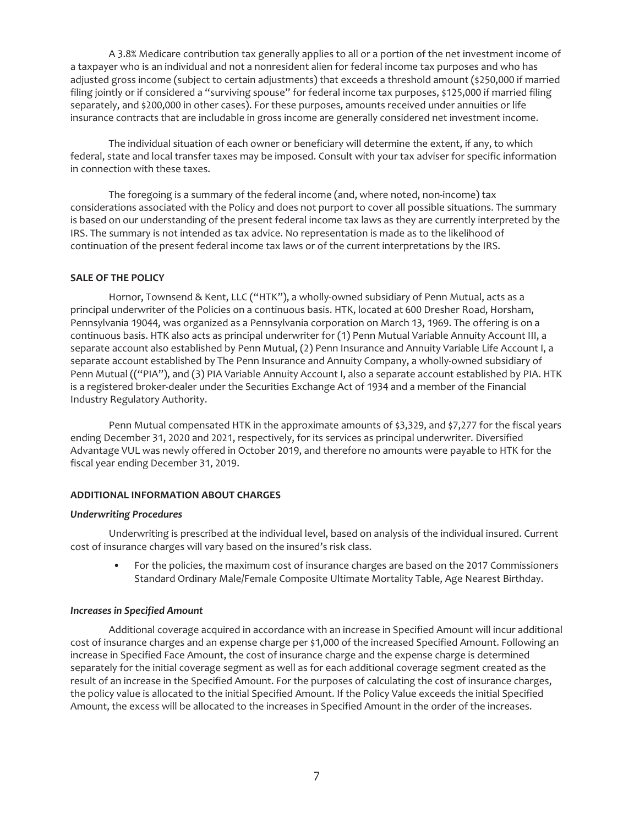A 3.8% Medicare contribution tax generally applies to all or a portion of the net investment income of a taxpayer who is an individual and not a nonresident alien for federal income tax purposes and who has adjusted gross income (subject to certain adjustments) that exceeds a threshold amount (\$250,000 if married filing jointly or if considered a "surviving spouse" for federal income tax purposes, \$125,000 if married filing separately, and \$200,000 in other cases). For these purposes, amounts received under annuities or life insurance contracts that are includable in gross income are generally considered net investment income.

The individual situation of each owner or beneficiary will determine the extent, if any, to which federal, state and local transfer taxes may be imposed. Consult with your tax adviser for specific information in connection with these taxes.

The foregoing is a summary of the federal income (and, where noted, non-income) tax considerations associated with the Policy and does not purport to cover all possible situations. The summary is based on our understanding of the present federal income tax laws as they are currently interpreted by the IRS. The summary is not intended as tax advice. No representation is made as to the likelihood of continuation of the present federal income tax laws or of the current interpretations by the IRS.

### <span id="page-6-0"></span>**SALE OF THE POLICY**

Hornor, Townsend & Kent, LLC ("HTK"), a wholly-owned subsidiary of Penn Mutual, acts as a principal underwriter of the Policies on a continuous basis. HTK, located at 600 Dresher Road, Horsham, Pennsylvania 19044, was organized as a Pennsylvania corporation on March 13, 1969. The offering is on a continuous basis. HTK also acts as principal underwriter for (1) Penn Mutual Variable Annuity Account III, a separate account also established by Penn Mutual, (2) Penn Insurance and Annuity Variable Life Account I, a separate account established by The Penn Insurance and Annuity Company, a wholly-owned subsidiary of Penn Mutual (("PIA"), and (3) PIA Variable Annuity Account I, also a separate account established by PIA. HTK is a registered broker-dealer under the Securities Exchange Act of 1934 and a member of the Financial Industry Regulatory Authority.

Penn Mutual compensated HTK in the approximate amounts of \$3,329, and \$7,277 for the fiscal years ending December 31, 2020 and 2021, respectively, for its services as principal underwriter. Diversified Advantage VUL was newly offered in October 2019, and therefore no amounts were payable to HTK for the fiscal year ending December 31, 2019.

# <span id="page-6-1"></span>**ADDITIONAL INFORMATION ABOUT CHARGES**

### *Underwriting Procedures*

Underwriting is prescribed at the individual level, based on analysis of the individual insured. Current cost of insurance charges will vary based on the insured's risk class.

• For the policies, the maximum cost of insurance charges are based on the 2017 Commissioners Standard Ordinary Male/Female Composite Ultimate Mortality Table, Age Nearest Birthday.

### *Increases in Specified Amount*

Additional coverage acquired in accordance with an increase in Specified Amount will incur additional cost of insurance charges and an expense charge per \$1,000 of the increased Specified Amount. Following an increase in Specified Face Amount, the cost of insurance charge and the expense charge is determined separately for the initial coverage segment as well as for each additional coverage segment created as the result of an increase in the Specified Amount. For the purposes of calculating the cost of insurance charges, the policy value is allocated to the initial Specified Amount. If the Policy Value exceeds the initial Specified Amount, the excess will be allocated to the increases in Specified Amount in the order of the increases.